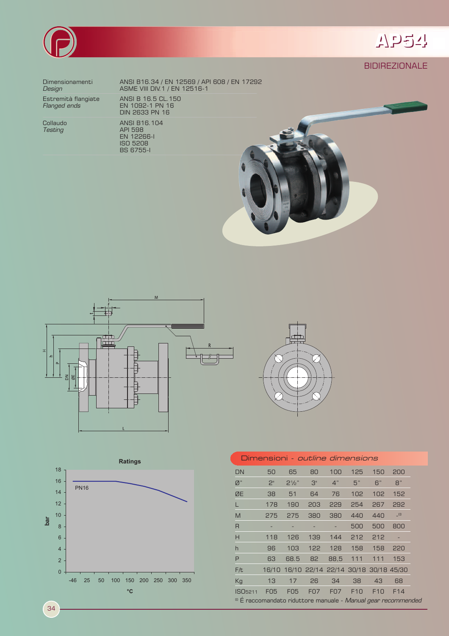



## **BIDIREZIONALE**

Dimensionamenti Design

Estremità flangiate<br>*Flanged ends* 

Collaudo **Testing** 

ANSI B16.34 / EN 12569 / API 608 / EN 17292<br>ASME VIII DIV.1 / EN 12516-1 ANSI B 16.5 CL. 150<br>EN 1092-1 PN 16<br>DIN 2633 PN 16 ANSI B16.104 ANSI B 16. 11<br>API 598<br>EN 12266-1<br>ISO 5208





**BS 6755-1** 





| Dimensioni - <i>outline dimensions</i>                                    |                |                  |            |            |                                           |                 |     |  |
|---------------------------------------------------------------------------|----------------|------------------|------------|------------|-------------------------------------------|-----------------|-----|--|
| <b>DN</b>                                                                 | 50             | 65               | 80         | 100        | 125                                       | 150             | 200 |  |
| $\mathbb{Z}^n$                                                            | 2 <sup>n</sup> | $2\frac{1}{2}$ " | 3"         | 4"         | 5"                                        | 6"              | B"  |  |
| ØE                                                                        | 38             | 51               | 64         | 76         | 102                                       | 102             | 152 |  |
| L                                                                         | 178            | 190              | 203        | 229        | 254                                       | 267             | 292 |  |
| M                                                                         | 275            | 275              | 380        | 380        | 440                                       | 440             | (1) |  |
| R                                                                         |                |                  |            |            | 500                                       | 500             | 800 |  |
| H                                                                         | 118            | 126              | 139        | 144        | 212                                       | 212             |     |  |
| h                                                                         | 96             | 103              | 122        | 128        | 158                                       | 158             | 220 |  |
| P                                                                         | 63             | 68.5             | 82         | 88,5       | 111                                       | 111             | 153 |  |
| F/t                                                                       |                |                  |            |            | 16/10 16/10 22/14 22/14 30/18 30/18 45/30 |                 |     |  |
| Kg                                                                        | 13             | 17               | 26         | 34         | 38                                        | 43              | 68  |  |
| ISO <sub>5211</sub>                                                       | <b>FO5</b>     | F <sub>05</sub>  | <b>FO7</b> | <b>F07</b> | F <sub>10</sub>                           | F <sub>10</sub> | F14 |  |
| <sup>(0)</sup> É raccomandato riduttore manuale - Manual gear recommended |                |                  |            |            |                                           |                 |     |  |

34